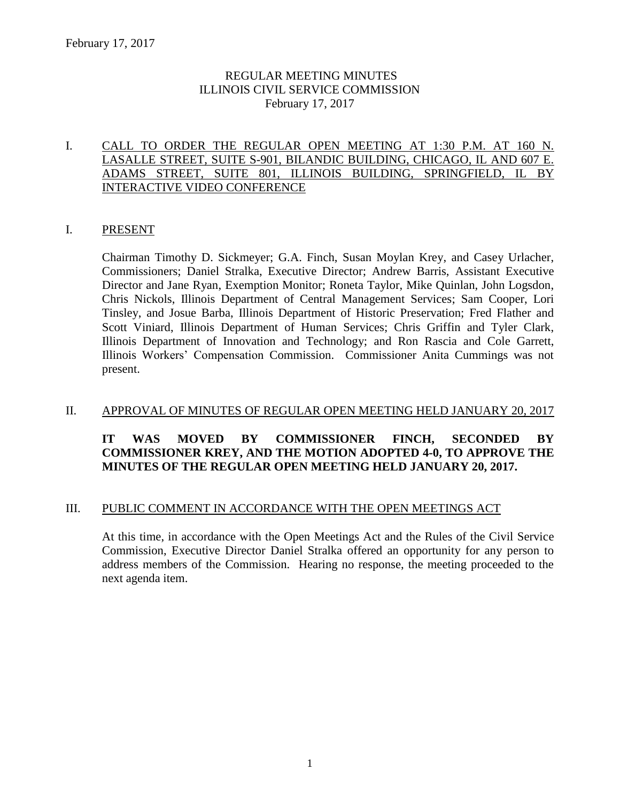# REGULAR MEETING MINUTES ILLINOIS CIVIL SERVICE COMMISSION February 17, 2017

# I. CALL TO ORDER THE REGULAR OPEN MEETING AT 1:30 P.M. AT 160 N. LASALLE STREET, SUITE S-901, BILANDIC BUILDING, CHICAGO, IL AND 607 E. ADAMS STREET, SUITE 801, ILLINOIS BUILDING, SPRINGFIELD, IL BY INTERACTIVE VIDEO CONFERENCE

### I. PRESENT

Chairman Timothy D. Sickmeyer; G.A. Finch, Susan Moylan Krey, and Casey Urlacher, Commissioners; Daniel Stralka, Executive Director; Andrew Barris, Assistant Executive Director and Jane Ryan, Exemption Monitor; Roneta Taylor, Mike Quinlan, John Logsdon, Chris Nickols, Illinois Department of Central Management Services; Sam Cooper, Lori Tinsley, and Josue Barba, Illinois Department of Historic Preservation; Fred Flather and Scott Viniard, Illinois Department of Human Services; Chris Griffin and Tyler Clark, Illinois Department of Innovation and Technology; and Ron Rascia and Cole Garrett, Illinois Workers' Compensation Commission. Commissioner Anita Cummings was not present.

# II. APPROVAL OF MINUTES OF REGULAR OPEN MEETING HELD JANUARY 20, 2017

# **IT WAS MOVED BY COMMISSIONER FINCH, SECONDED BY COMMISSIONER KREY, AND THE MOTION ADOPTED 4-0, TO APPROVE THE MINUTES OF THE REGULAR OPEN MEETING HELD JANUARY 20, 2017.**

### III. PUBLIC COMMENT IN ACCORDANCE WITH THE OPEN MEETINGS ACT

At this time, in accordance with the Open Meetings Act and the Rules of the Civil Service Commission, Executive Director Daniel Stralka offered an opportunity for any person to address members of the Commission. Hearing no response, the meeting proceeded to the next agenda item.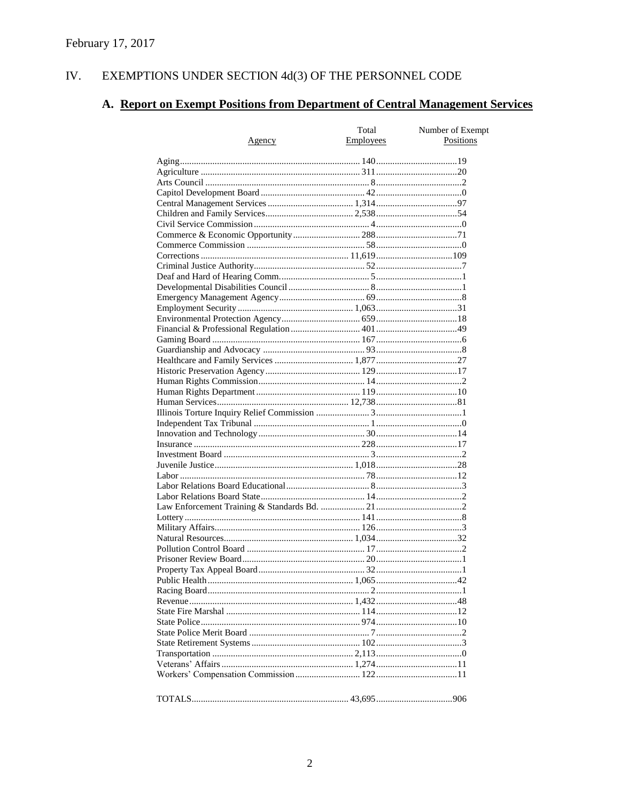#### IV. EXEMPTIONS UNDER SECTION 4d(3) OF THE PERSONNEL CODE

# A. Report on Exempt Positions from Department of Central Management Services

|               | Total     | Number of Exempt |
|---------------|-----------|------------------|
| <u>Agency</u> | Employees | Positions        |
|               |           |                  |
|               |           |                  |
|               |           |                  |
|               |           |                  |
|               |           |                  |
|               |           |                  |
|               |           |                  |
|               |           |                  |
|               |           |                  |
|               |           |                  |
|               |           |                  |
|               |           |                  |
|               |           |                  |
|               |           |                  |
|               |           |                  |
|               |           |                  |
|               |           |                  |
|               |           |                  |
|               |           |                  |
|               |           |                  |
|               |           |                  |
|               |           |                  |
|               |           |                  |
|               |           |                  |
|               |           |                  |
|               |           |                  |
|               |           |                  |
|               |           |                  |
|               |           |                  |
|               |           |                  |
|               |           |                  |
|               |           |                  |
|               |           |                  |
|               |           |                  |
|               |           |                  |
|               |           |                  |
|               |           |                  |
|               |           |                  |
|               |           |                  |
|               |           |                  |
|               |           |                  |
|               |           |                  |
|               |           |                  |
|               |           |                  |
|               |           |                  |
|               |           |                  |
|               |           |                  |
|               |           |                  |
|               |           |                  |
|               |           |                  |
|               |           |                  |
|               |           |                  |
|               |           |                  |
|               |           |                  |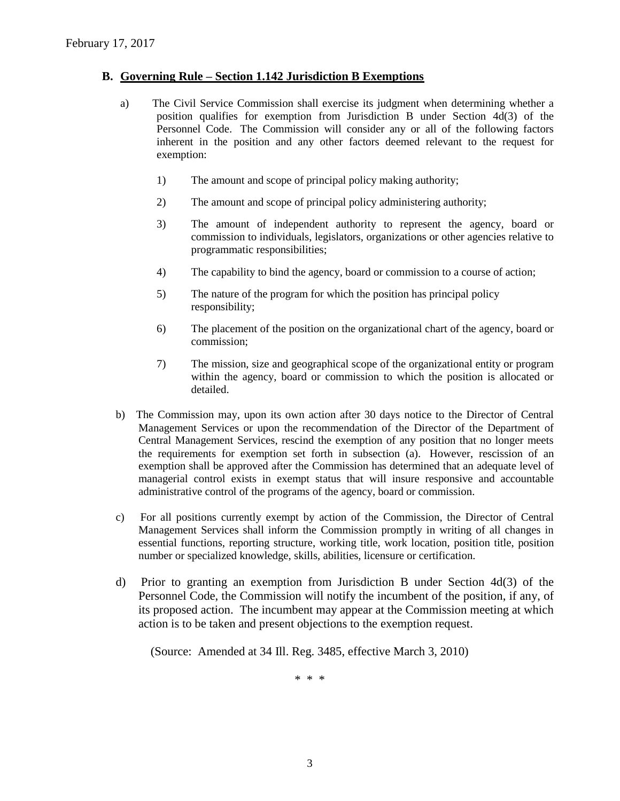#### **B. Governing Rule – Section 1.142 Jurisdiction B Exemptions**

- a) The Civil Service Commission shall exercise its judgment when determining whether a position qualifies for exemption from Jurisdiction B under Section 4d(3) of the Personnel Code. The Commission will consider any or all of the following factors inherent in the position and any other factors deemed relevant to the request for exemption:
	- 1) The amount and scope of principal policy making authority;
	- 2) The amount and scope of principal policy administering authority;
	- 3) The amount of independent authority to represent the agency, board or commission to individuals, legislators, organizations or other agencies relative to programmatic responsibilities;
	- 4) The capability to bind the agency, board or commission to a course of action;
	- 5) The nature of the program for which the position has principal policy responsibility;
	- 6) The placement of the position on the organizational chart of the agency, board or commission;
	- 7) The mission, size and geographical scope of the organizational entity or program within the agency, board or commission to which the position is allocated or detailed.
- b) The Commission may, upon its own action after 30 days notice to the Director of Central Management Services or upon the recommendation of the Director of the Department of Central Management Services, rescind the exemption of any position that no longer meets the requirements for exemption set forth in subsection (a). However, rescission of an exemption shall be approved after the Commission has determined that an adequate level of managerial control exists in exempt status that will insure responsive and accountable administrative control of the programs of the agency, board or commission.
- c) For all positions currently exempt by action of the Commission, the Director of Central Management Services shall inform the Commission promptly in writing of all changes in essential functions, reporting structure, working title, work location, position title, position number or specialized knowledge, skills, abilities, licensure or certification.
- d) Prior to granting an exemption from Jurisdiction B under Section 4d(3) of the Personnel Code, the Commission will notify the incumbent of the position, if any, of its proposed action. The incumbent may appear at the Commission meeting at which action is to be taken and present objections to the exemption request.

(Source: Amended at 34 Ill. Reg. 3485, effective March 3, 2010)

\* \* \*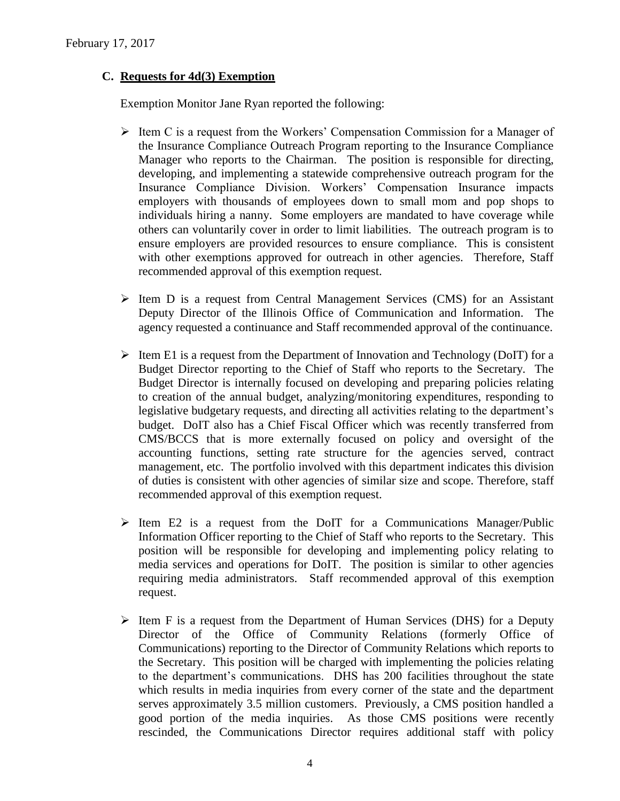# **C. Requests for 4d(3) Exemption**

Exemption Monitor Jane Ryan reported the following:

- $\triangleright$  Item C is a request from the Workers' Compensation Commission for a Manager of the Insurance Compliance Outreach Program reporting to the Insurance Compliance Manager who reports to the Chairman. The position is responsible for directing, developing, and implementing a statewide comprehensive outreach program for the Insurance Compliance Division. Workers' Compensation Insurance impacts employers with thousands of employees down to small mom and pop shops to individuals hiring a nanny. Some employers are mandated to have coverage while others can voluntarily cover in order to limit liabilities. The outreach program is to ensure employers are provided resources to ensure compliance. This is consistent with other exemptions approved for outreach in other agencies. Therefore, Staff recommended approval of this exemption request.
- $\triangleright$  Item D is a request from Central Management Services (CMS) for an Assistant Deputy Director of the Illinois Office of Communication and Information. The agency requested a continuance and Staff recommended approval of the continuance.
- $\triangleright$  Item E1 is a request from the Department of Innovation and Technology (DoIT) for a Budget Director reporting to the Chief of Staff who reports to the Secretary. The Budget Director is internally focused on developing and preparing policies relating to creation of the annual budget, analyzing/monitoring expenditures, responding to legislative budgetary requests, and directing all activities relating to the department's budget. DoIT also has a Chief Fiscal Officer which was recently transferred from CMS/BCCS that is more externally focused on policy and oversight of the accounting functions, setting rate structure for the agencies served, contract management, etc. The portfolio involved with this department indicates this division of duties is consistent with other agencies of similar size and scope. Therefore, staff recommended approval of this exemption request.
- $\triangleright$  Item E2 is a request from the DoIT for a Communications Manager/Public Information Officer reporting to the Chief of Staff who reports to the Secretary. This position will be responsible for developing and implementing policy relating to media services and operations for DoIT. The position is similar to other agencies requiring media administrators. Staff recommended approval of this exemption request.
- $\triangleright$  Item F is a request from the Department of Human Services (DHS) for a Deputy Director of the Office of Community Relations (formerly Office of Communications) reporting to the Director of Community Relations which reports to the Secretary. This position will be charged with implementing the policies relating to the department's communications. DHS has 200 facilities throughout the state which results in media inquiries from every corner of the state and the department serves approximately 3.5 million customers. Previously, a CMS position handled a good portion of the media inquiries. As those CMS positions were recently rescinded, the Communications Director requires additional staff with policy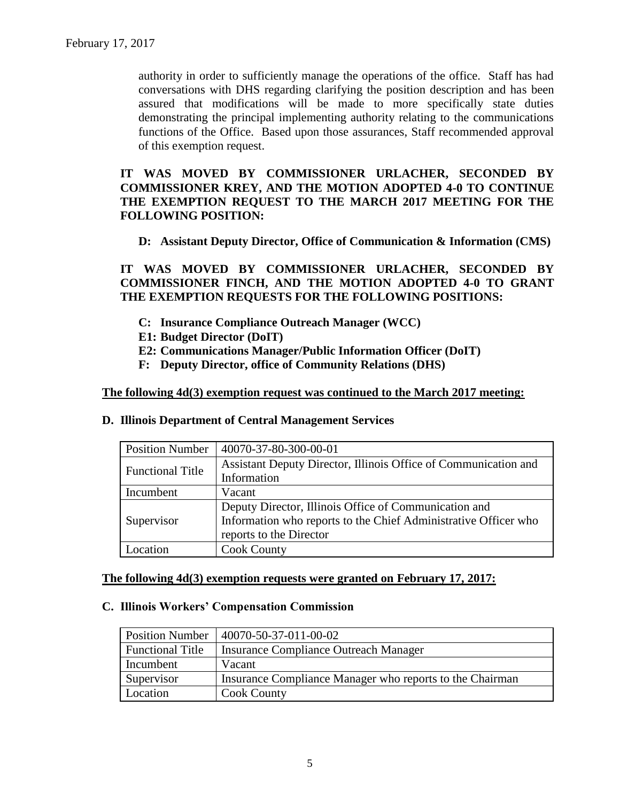authority in order to sufficiently manage the operations of the office. Staff has had conversations with DHS regarding clarifying the position description and has been assured that modifications will be made to more specifically state duties demonstrating the principal implementing authority relating to the communications functions of the Office. Based upon those assurances, Staff recommended approval of this exemption request.

# **IT WAS MOVED BY COMMISSIONER URLACHER, SECONDED BY COMMISSIONER KREY, AND THE MOTION ADOPTED 4-0 TO CONTINUE THE EXEMPTION REQUEST TO THE MARCH 2017 MEETING FOR THE FOLLOWING POSITION:**

### **D: Assistant Deputy Director, Office of Communication & Information (CMS)**

**IT WAS MOVED BY COMMISSIONER URLACHER, SECONDED BY COMMISSIONER FINCH, AND THE MOTION ADOPTED 4-0 TO GRANT THE EXEMPTION REQUESTS FOR THE FOLLOWING POSITIONS:**

- **C: Insurance Compliance Outreach Manager (WCC)**
- **E1: Budget Director (DoIT)**
- **E2: Communications Manager/Public Information Officer (DoIT)**
- **F: Deputy Director, office of Community Relations (DHS)**

#### **The following 4d(3) exemption request was continued to the March 2017 meeting:**

| <b>Position Number</b>  | 40070-37-80-300-00-01                                                                                                                               |
|-------------------------|-----------------------------------------------------------------------------------------------------------------------------------------------------|
| <b>Functional Title</b> | Assistant Deputy Director, Illinois Office of Communication and<br>Information                                                                      |
| Incumbent               | Vacant                                                                                                                                              |
| Supervisor              | Deputy Director, Illinois Office of Communication and<br>Information who reports to the Chief Administrative Officer who<br>reports to the Director |
| ocation                 | <b>Cook County</b>                                                                                                                                  |

#### **D. Illinois Department of Central Management Services**

# **The following 4d(3) exemption requests were granted on February 17, 2017:**

#### **C. Illinois Workers' Compensation Commission**

| <b>Position Number</b>  | 40070-50-37-011-00-02                                    |
|-------------------------|----------------------------------------------------------|
| <b>Functional Title</b> | <b>Insurance Compliance Outreach Manager</b>             |
| Incumbent               | Vacant                                                   |
| Supervisor              | Insurance Compliance Manager who reports to the Chairman |
| Location                | <b>Cook County</b>                                       |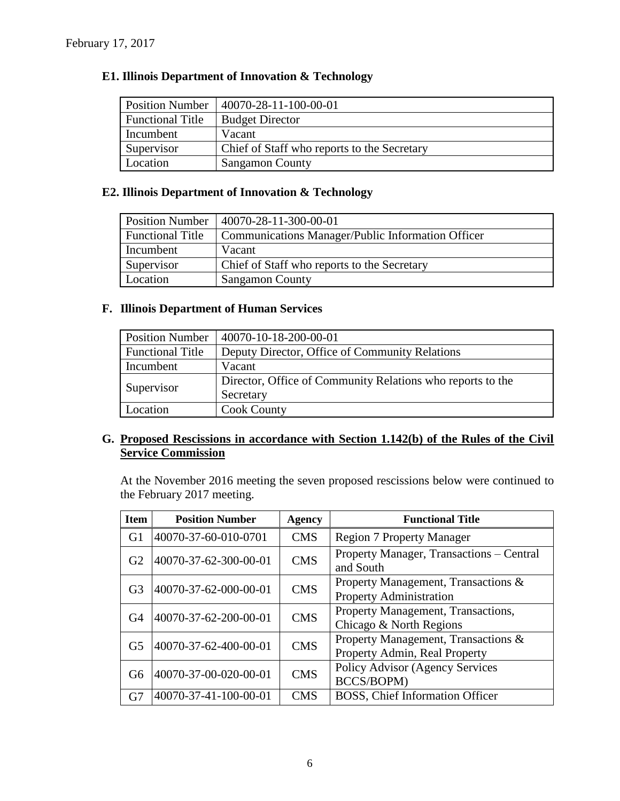# **E1. Illinois Department of Innovation & Technology**

| <b>Position Number</b>  | 40070-28-11-100-00-01                       |
|-------------------------|---------------------------------------------|
| <b>Functional Title</b> | <b>Budget Director</b>                      |
| Incumbent               | Vacant                                      |
| Supervisor              | Chief of Staff who reports to the Secretary |
| Location                | <b>Sangamon County</b>                      |

# **E2. Illinois Department of Innovation & Technology**

| <b>Position Number</b>  | 40070-28-11-300-00-01                             |
|-------------------------|---------------------------------------------------|
| <b>Functional Title</b> | Communications Manager/Public Information Officer |
| Incumbent               | Vacant                                            |
| Supervisor              | Chief of Staff who reports to the Secretary       |
| Location                | <b>Sangamon County</b>                            |

# **F. Illinois Department of Human Services**

| <b>Position Number</b>  | 40070-10-18-200-00-01                                      |
|-------------------------|------------------------------------------------------------|
| <b>Functional Title</b> | Deputy Director, Office of Community Relations             |
| Incumbent               | Vacant                                                     |
|                         | Director, Office of Community Relations who reports to the |
| Supervisor              | Secretary                                                  |
| Location                | <b>Cook County</b>                                         |

# **G. Proposed Rescissions in accordance with Section 1.142(b) of the Rules of the Civil Service Commission**

At the November 2016 meeting the seven proposed rescissions below were continued to the February 2017 meeting.

| <b>Item</b>    | <b>Position Number</b> | <b>Agency</b> | <b>Functional Title</b>                                               |
|----------------|------------------------|---------------|-----------------------------------------------------------------------|
| G <sub>1</sub> | 40070-37-60-010-0701   | <b>CMS</b>    | <b>Region 7 Property Manager</b>                                      |
| G2             | 40070-37-62-300-00-01  | <b>CMS</b>    | Property Manager, Transactions – Central<br>and South                 |
| G <sub>3</sub> | 40070-37-62-000-00-01  | <b>CMS</b>    | Property Management, Transactions &<br><b>Property Administration</b> |
| G4             | 40070-37-62-200-00-01  | <b>CMS</b>    | Property Management, Transactions,<br>Chicago & North Regions         |
| G <sub>5</sub> | 40070-37-62-400-00-01  | <b>CMS</b>    | Property Management, Transactions &<br>Property Admin, Real Property  |
| G6             | 40070-37-00-020-00-01  | <b>CMS</b>    | Policy Advisor (Agency Services<br>BCCS/BOPM)                         |
| G7             | 40070-37-41-100-00-01  | <b>CMS</b>    | BOSS, Chief Information Officer                                       |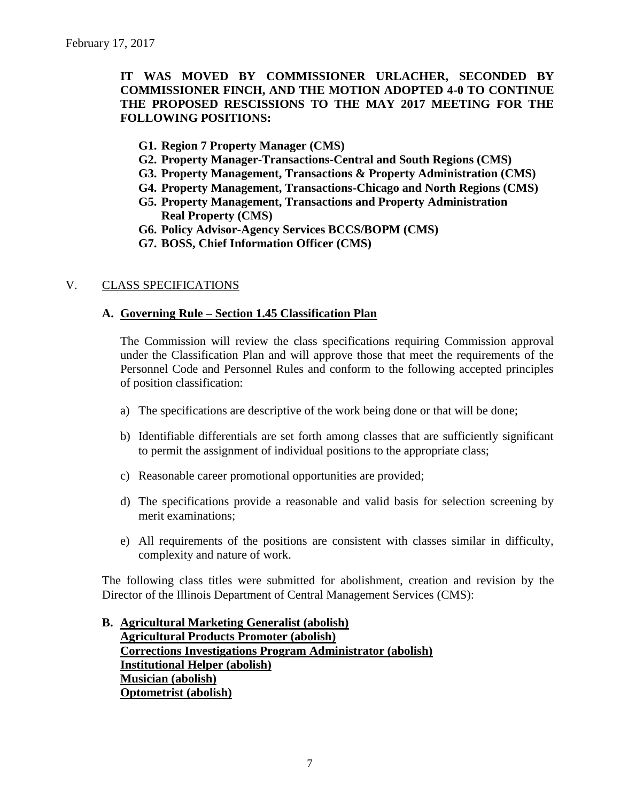**IT WAS MOVED BY COMMISSIONER URLACHER, SECONDED BY COMMISSIONER FINCH, AND THE MOTION ADOPTED 4-0 TO CONTINUE THE PROPOSED RESCISSIONS TO THE MAY 2017 MEETING FOR THE FOLLOWING POSITIONS:**

- **G1. Region 7 Property Manager (CMS)**
- **G2. Property Manager-Transactions-Central and South Regions (CMS)**
- **G3. Property Management, Transactions & Property Administration (CMS)**
- **G4. Property Management, Transactions-Chicago and North Regions (CMS)**
- **G5. Property Management, Transactions and Property Administration Real Property (CMS)**
- **G6. Policy Advisor-Agency Services BCCS/BOPM (CMS)**
- **G7. BOSS, Chief Information Officer (CMS)**

# V. CLASS SPECIFICATIONS

### **A. Governing Rule – Section 1.45 Classification Plan**

The Commission will review the class specifications requiring Commission approval under the Classification Plan and will approve those that meet the requirements of the Personnel Code and Personnel Rules and conform to the following accepted principles of position classification:

- a) The specifications are descriptive of the work being done or that will be done;
- b) Identifiable differentials are set forth among classes that are sufficiently significant to permit the assignment of individual positions to the appropriate class;
- c) Reasonable career promotional opportunities are provided;
- d) The specifications provide a reasonable and valid basis for selection screening by merit examinations;
- e) All requirements of the positions are consistent with classes similar in difficulty, complexity and nature of work.

The following class titles were submitted for abolishment, creation and revision by the Director of the Illinois Department of Central Management Services (CMS):

# **B. Agricultural Marketing Generalist (abolish) Agricultural Products Promoter (abolish) Corrections Investigations Program Administrator (abolish) Institutional Helper (abolish) Musician (abolish) Optometrist (abolish)**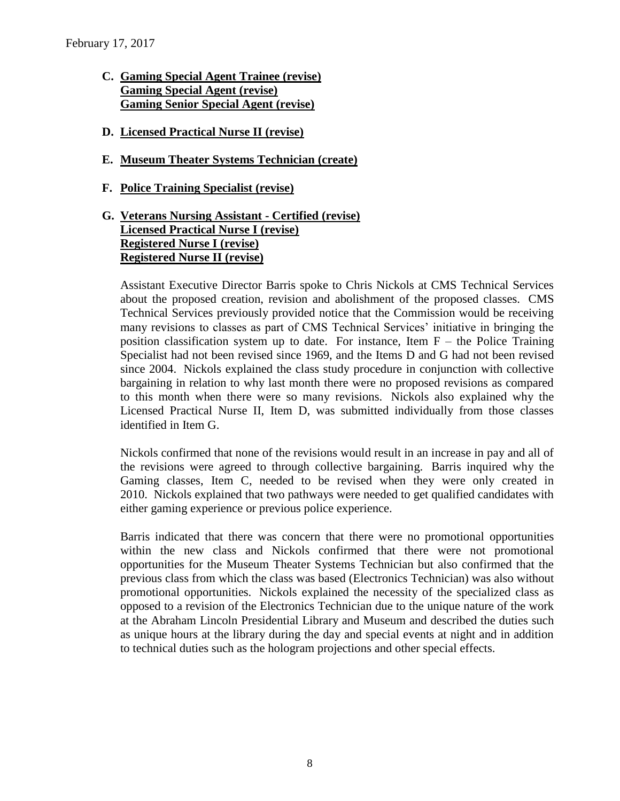- **C. Gaming Special Agent Trainee (revise) Gaming Special Agent (revise) Gaming Senior Special Agent (revise)**
- **D. Licensed Practical Nurse II (revise)**
- **E. Museum Theater Systems Technician (create)**
- **F. Police Training Specialist (revise)**

# **G. Veterans Nursing Assistant - Certified (revise) Licensed Practical Nurse I (revise) Registered Nurse I (revise) Registered Nurse II (revise)**

Assistant Executive Director Barris spoke to Chris Nickols at CMS Technical Services about the proposed creation, revision and abolishment of the proposed classes. CMS Technical Services previously provided notice that the Commission would be receiving many revisions to classes as part of CMS Technical Services' initiative in bringing the position classification system up to date. For instance, Item  $F -$  the Police Training Specialist had not been revised since 1969, and the Items D and G had not been revised since 2004. Nickols explained the class study procedure in conjunction with collective bargaining in relation to why last month there were no proposed revisions as compared to this month when there were so many revisions. Nickols also explained why the Licensed Practical Nurse II, Item D, was submitted individually from those classes identified in Item G.

Nickols confirmed that none of the revisions would result in an increase in pay and all of the revisions were agreed to through collective bargaining. Barris inquired why the Gaming classes, Item C, needed to be revised when they were only created in 2010. Nickols explained that two pathways were needed to get qualified candidates with either gaming experience or previous police experience.

Barris indicated that there was concern that there were no promotional opportunities within the new class and Nickols confirmed that there were not promotional opportunities for the Museum Theater Systems Technician but also confirmed that the previous class from which the class was based (Electronics Technician) was also without promotional opportunities. Nickols explained the necessity of the specialized class as opposed to a revision of the Electronics Technician due to the unique nature of the work at the Abraham Lincoln Presidential Library and Museum and described the duties such as unique hours at the library during the day and special events at night and in addition to technical duties such as the hologram projections and other special effects.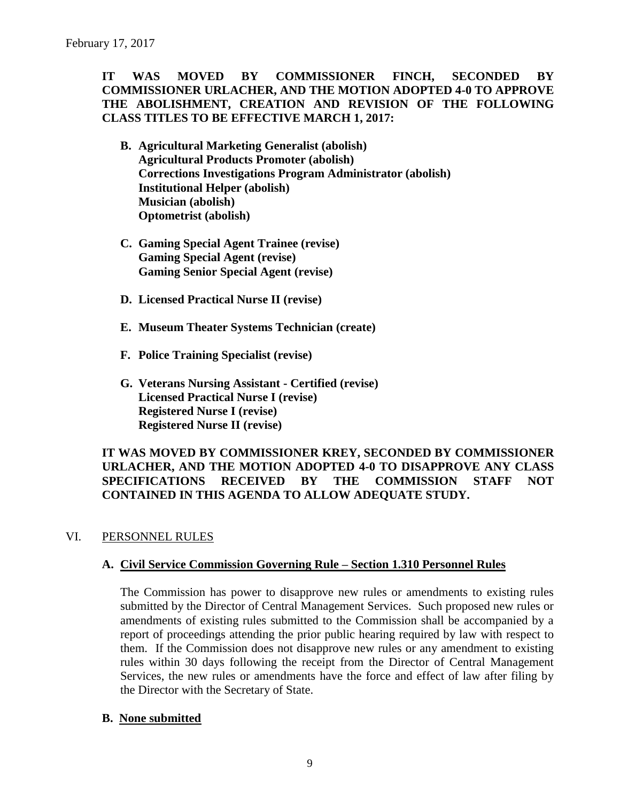# **IT WAS MOVED BY COMMISSIONER FINCH, SECONDED BY COMMISSIONER URLACHER, AND THE MOTION ADOPTED 4-0 TO APPROVE THE ABOLISHMENT, CREATION AND REVISION OF THE FOLLOWING CLASS TITLES TO BE EFFECTIVE MARCH 1, 2017:**

- **B. Agricultural Marketing Generalist (abolish) Agricultural Products Promoter (abolish) Corrections Investigations Program Administrator (abolish) Institutional Helper (abolish) Musician (abolish) Optometrist (abolish)**
- **C. Gaming Special Agent Trainee (revise) Gaming Special Agent (revise) Gaming Senior Special Agent (revise)**
- **D. Licensed Practical Nurse II (revise)**
- **E. Museum Theater Systems Technician (create)**
- **F. Police Training Specialist (revise)**
- **G. Veterans Nursing Assistant - Certified (revise) Licensed Practical Nurse I (revise) Registered Nurse I (revise) Registered Nurse II (revise)**

# **IT WAS MOVED BY COMMISSIONER KREY, SECONDED BY COMMISSIONER URLACHER, AND THE MOTION ADOPTED 4-0 TO DISAPPROVE ANY CLASS SPECIFICATIONS RECEIVED BY THE COMMISSION STAFF NOT CONTAINED IN THIS AGENDA TO ALLOW ADEQUATE STUDY.**

### VI. PERSONNEL RULES

### **A. Civil Service Commission Governing Rule – Section 1.310 Personnel Rules**

The Commission has power to disapprove new rules or amendments to existing rules submitted by the Director of Central Management Services. Such proposed new rules or amendments of existing rules submitted to the Commission shall be accompanied by a report of proceedings attending the prior public hearing required by law with respect to them. If the Commission does not disapprove new rules or any amendment to existing rules within 30 days following the receipt from the Director of Central Management Services, the new rules or amendments have the force and effect of law after filing by the Director with the Secretary of State.

### **B. None submitted**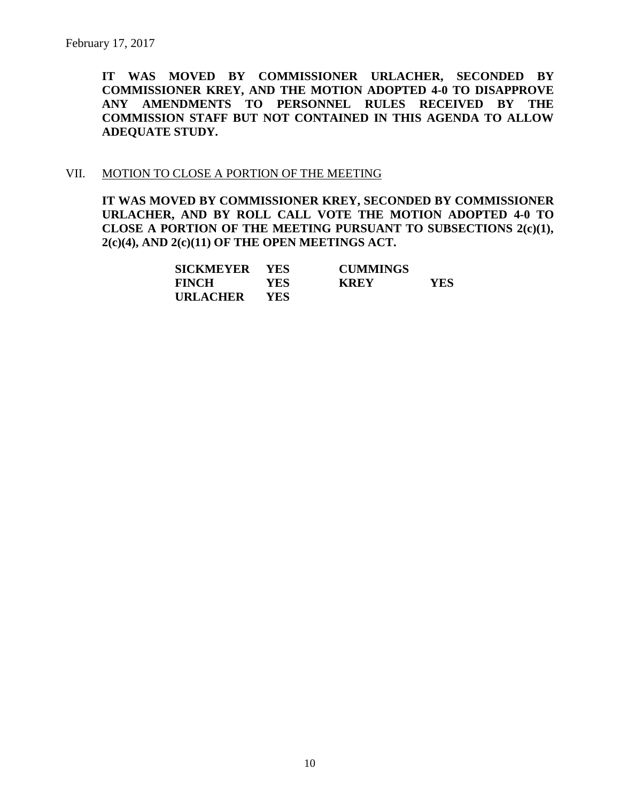**IT WAS MOVED BY COMMISSIONER URLACHER, SECONDED BY COMMISSIONER KREY, AND THE MOTION ADOPTED 4-0 TO DISAPPROVE ANY AMENDMENTS TO PERSONNEL RULES RECEIVED BY THE COMMISSION STAFF BUT NOT CONTAINED IN THIS AGENDA TO ALLOW ADEQUATE STUDY.** 

#### VII. MOTION TO CLOSE A PORTION OF THE MEETING

**IT WAS MOVED BY COMMISSIONER KREY, SECONDED BY COMMISSIONER URLACHER, AND BY ROLL CALL VOTE THE MOTION ADOPTED 4-0 TO CLOSE A PORTION OF THE MEETING PURSUANT TO SUBSECTIONS 2(c)(1), 2(c)(4), AND 2(c)(11) OF THE OPEN MEETINGS ACT.**

| SICKMEYER YES |            | <b>CUMMINGS</b> |      |
|---------------|------------|-----------------|------|
| <b>FINCH</b>  | <b>YES</b> | <b>KREY</b>     | YES. |
| URLACHER      | <b>YES</b> |                 |      |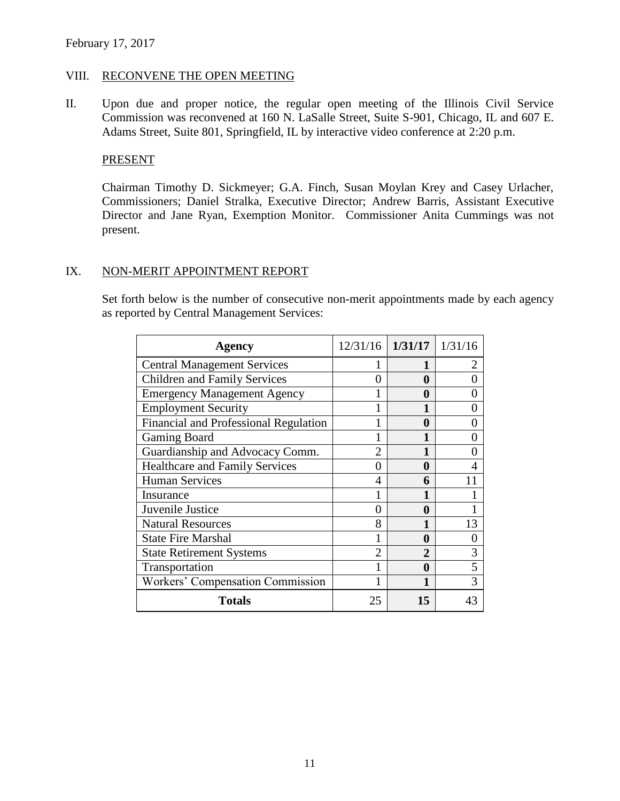### VIII. RECONVENE THE OPEN MEETING

II. Upon due and proper notice, the regular open meeting of the Illinois Civil Service Commission was reconvened at 160 N. LaSalle Street, Suite S-901, Chicago, IL and 607 E. Adams Street, Suite 801, Springfield, IL by interactive video conference at 2:20 p.m.

#### PRESENT

Chairman Timothy D. Sickmeyer; G.A. Finch, Susan Moylan Krey and Casey Urlacher, Commissioners; Daniel Stralka, Executive Director; Andrew Barris, Assistant Executive Director and Jane Ryan, Exemption Monitor. Commissioner Anita Cummings was not present.

#### IX. NON-MERIT APPOINTMENT REPORT

Set forth below is the number of consecutive non-merit appointments made by each agency as reported by Central Management Services:

| Agency                                  | $12/31/16$ 1/31/17 1/31/16 |                |                |
|-----------------------------------------|----------------------------|----------------|----------------|
| <b>Central Management Services</b>      |                            |                | 2              |
| <b>Children and Family Services</b>     | 0                          | 0              | 0              |
| <b>Emergency Management Agency</b>      |                            | 0              | 0              |
| <b>Employment Security</b>              |                            |                | 0              |
| Financial and Professional Regulation   |                            | 0              | 0              |
| <b>Gaming Board</b>                     |                            |                | 0              |
| Guardianship and Advocacy Comm.         | 2                          |                | 0              |
| <b>Healthcare and Family Services</b>   | 0                          | 0              | $\overline{4}$ |
| <b>Human Services</b>                   | 4                          | 6              | 11             |
| Insurance                               |                            |                |                |
| Juvenile Justice                        | 0                          | 0              | 1              |
| <b>Natural Resources</b>                | 8                          | 1              | 13             |
| <b>State Fire Marshal</b>               |                            | 0              | 0              |
| <b>State Retirement Systems</b>         | $\overline{2}$             | $\overline{2}$ | 3              |
| Transportation                          |                            | 0              | 5              |
| <b>Workers' Compensation Commission</b> |                            | 1              | 3              |
| <b>Totals</b>                           | 25                         | 15             | 43             |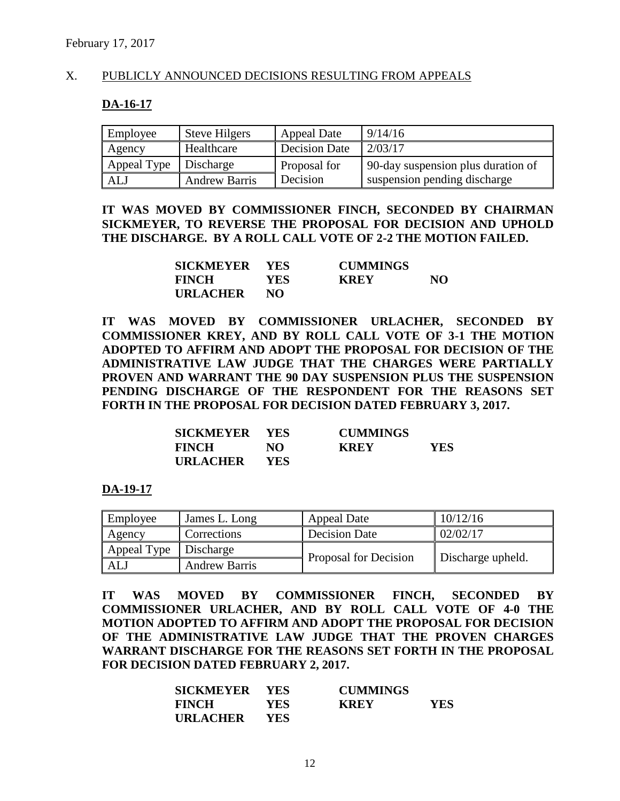#### X. PUBLICLY ANNOUNCED DECISIONS RESULTING FROM APPEALS

#### **DA-16-17**

| Employee                | <b>Steve Hilgers</b> | <b>Appeal Date</b>   | 9/14/16                            |
|-------------------------|----------------------|----------------------|------------------------------------|
| Agency                  | Healthcare           | <b>Decision Date</b> | 2/03/17                            |
| Appeal Type   Discharge |                      | Proposal for         | 90-day suspension plus duration of |
| ALJ                     | <b>Andrew Barris</b> | Decision             | suspension pending discharge       |

**IT WAS MOVED BY COMMISSIONER FINCH, SECONDED BY CHAIRMAN SICKMEYER, TO REVERSE THE PROPOSAL FOR DECISION AND UPHOLD THE DISCHARGE. BY A ROLL CALL VOTE OF 2-2 THE MOTION FAILED.**

| SICKMEYER YES   |      | <b>CUMMINGS</b> |    |
|-----------------|------|-----------------|----|
| <b>FINCH</b>    | YES- | <b>KREY</b>     | NO |
| <b>URLACHER</b> | NO   |                 |    |

**IT WAS MOVED BY COMMISSIONER URLACHER, SECONDED BY COMMISSIONER KREY, AND BY ROLL CALL VOTE OF 3-1 THE MOTION ADOPTED TO AFFIRM AND ADOPT THE PROPOSAL FOR DECISION OF THE ADMINISTRATIVE LAW JUDGE THAT THE CHARGES WERE PARTIALLY PROVEN AND WARRANT THE 90 DAY SUSPENSION PLUS THE SUSPENSION PENDING DISCHARGE OF THE RESPONDENT FOR THE REASONS SET FORTH IN THE PROPOSAL FOR DECISION DATED FEBRUARY 3, 2017.**

| SICKMEYER YES   |            | <b>CUMMINGS</b> |     |
|-----------------|------------|-----------------|-----|
| <b>FINCH</b>    | NO.        | <b>KREY</b>     | YES |
| <b>URLACHER</b> | <b>YES</b> |                 |     |

**DA-19-17**

| Employee    | James L. Long        | <b>Appeal Date</b>    | 10/12/16          |  |
|-------------|----------------------|-----------------------|-------------------|--|
| Agency      | Corrections          | <b>Decision Date</b>  | 02/02/17          |  |
| Appeal Type | Discharge            | Proposal for Decision | Discharge upheld. |  |
| ALJ         | <b>Andrew Barris</b> |                       |                   |  |

**IT WAS MOVED BY COMMISSIONER FINCH, SECONDED BY COMMISSIONER URLACHER, AND BY ROLL CALL VOTE OF 4-0 THE MOTION ADOPTED TO AFFIRM AND ADOPT THE PROPOSAL FOR DECISION OF THE ADMINISTRATIVE LAW JUDGE THAT THE PROVEN CHARGES WARRANT DISCHARGE FOR THE REASONS SET FORTH IN THE PROPOSAL FOR DECISION DATED FEBRUARY 2, 2017.**

| <b>SICKMEYER YES</b> |            | <b>CUMMINGS</b> |            |
|----------------------|------------|-----------------|------------|
| <b>FINCH</b>         | <b>YES</b> | <b>KREY</b>     | <b>YES</b> |
| <b>URLACHER</b>      | <b>YES</b> |                 |            |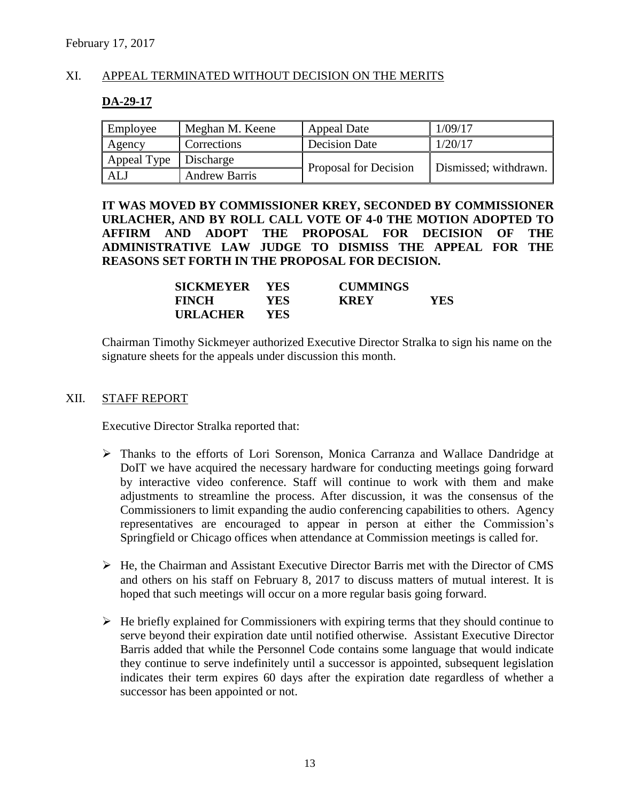# XI. APPEAL TERMINATED WITHOUT DECISION ON THE MERITS

#### **DA-29-17**

| Employee                | Meghan M. Keene      | <b>Appeal Date</b>    | 1/09/17               |  |
|-------------------------|----------------------|-----------------------|-----------------------|--|
| Agency                  | Corrections          | <b>Decision Date</b>  | 1/20/17               |  |
| Appeal Type   Discharge |                      | Proposal for Decision | Dismissed; withdrawn. |  |
| ALJ                     | <b>Andrew Barris</b> |                       |                       |  |

**IT WAS MOVED BY COMMISSIONER KREY, SECONDED BY COMMISSIONER URLACHER, AND BY ROLL CALL VOTE OF 4-0 THE MOTION ADOPTED TO AFFIRM AND ADOPT THE PROPOSAL FOR DECISION OF THE ADMINISTRATIVE LAW JUDGE TO DISMISS THE APPEAL FOR THE REASONS SET FORTH IN THE PROPOSAL FOR DECISION.**

| SICKMEYER       | <b>YES</b> | <b>CUMMINGS</b> |     |
|-----------------|------------|-----------------|-----|
| <b>FINCH</b>    | YES-       | <b>KREY</b>     | YES |
| <b>URLACHER</b> | YES.       |                 |     |

Chairman Timothy Sickmeyer authorized Executive Director Stralka to sign his name on the signature sheets for the appeals under discussion this month.

#### XII. STAFF REPORT

Executive Director Stralka reported that:

- Thanks to the efforts of Lori Sorenson, Monica Carranza and Wallace Dandridge at DoIT we have acquired the necessary hardware for conducting meetings going forward by interactive video conference. Staff will continue to work with them and make adjustments to streamline the process. After discussion, it was the consensus of the Commissioners to limit expanding the audio conferencing capabilities to others. Agency representatives are encouraged to appear in person at either the Commission's Springfield or Chicago offices when attendance at Commission meetings is called for.
- $\triangleright$  He, the Chairman and Assistant Executive Director Barris met with the Director of CMS and others on his staff on February 8, 2017 to discuss matters of mutual interest. It is hoped that such meetings will occur on a more regular basis going forward.
- $\triangleright$  He briefly explained for Commissioners with expiring terms that they should continue to serve beyond their expiration date until notified otherwise. Assistant Executive Director Barris added that while the Personnel Code contains some language that would indicate they continue to serve indefinitely until a successor is appointed, subsequent legislation indicates their term expires 60 days after the expiration date regardless of whether a successor has been appointed or not.